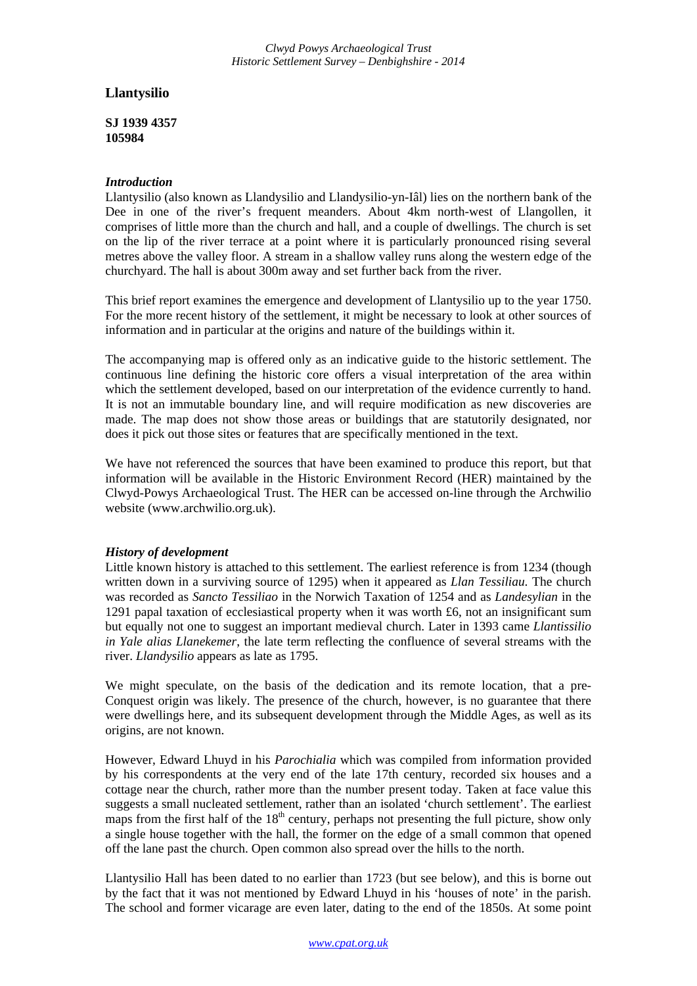*Clwyd Powys Archaeological Trust Historic Settlement Survey – Denbighshire - 2014*

# **Llantysilio**

**SJ 1939 4357 105984**

#### *Introduction*

Llantysilio (also known as Llandysilio and Llandysilio-yn-Iâl) lies on the northern bank of the Dee in one of the river's frequent meanders. About 4km north-west of Llangollen, it comprises of little more than the church and hall, and a couple of dwellings. The church is set on the lip of the river terrace at a point where it is particularly pronounced rising several metres above the valley floor. A stream in a shallow valley runs along the western edge of the churchyard. The hall is about 300m away and set further back from the river.

This brief report examines the emergence and development of Llantysilio up to the year 1750. For the more recent history of the settlement, it might be necessary to look at other sources of information and in particular at the origins and nature of the buildings within it.

The accompanying map is offered only as an indicative guide to the historic settlement. The continuous line defining the historic core offers a visual interpretation of the area within which the settlement developed, based on our interpretation of the evidence currently to hand. It is not an immutable boundary line, and will require modification as new discoveries are made. The map does not show those areas or buildings that are statutorily designated, nor does it pick out those sites or features that are specifically mentioned in the text.

We have not referenced the sources that have been examined to produce this report, but that information will be available in the Historic Environment Record (HER) maintained by the Clwyd-Powys Archaeological Trust. The HER can be accessed on-line through the Archwilio website (www.archwilio.org.uk).

## *History of development*

Little known history is attached to this settlement. The earliest reference is from 1234 (though written down in a surviving source of 1295) when it appeared as *Llan Tessiliau.* The church was recorded as *Sancto Tessiliao* in the Norwich Taxation of 1254 and as *Landesylian* in the 1291 papal taxation of ecclesiastical property when it was worth  $\pounds 6$ , not an insignificant sum but equally not one to suggest an important medieval church. Later in 1393 came *Llantissilio in Yale alias Llanekemer*, the late term reflecting the confluence of several streams with the river. *Llandysilio* appears as late as 1795.

We might speculate, on the basis of the dedication and its remote location, that a pre-Conquest origin was likely. The presence of the church, however, is no guarantee that there were dwellings here, and its subsequent development through the Middle Ages, as well as its origins, are not known.

However, Edward Lhuyd in his *Parochialia* which was compiled from information provided by his correspondents at the very end of the late 17th century, recorded six houses and a cottage near the church, rather more than the number present today. Taken at face value this suggests a small nucleated settlement, rather than an isolated 'church settlement'. The earliest maps from the first half of the  $18<sup>th</sup>$  century, perhaps not presenting the full picture, show only a single house together with the hall, the former on the edge of a small common that opened off the lane past the church. Open common also spread over the hills to the north.

Llantysilio Hall has been dated to no earlier than 1723 (but see below), and this is borne out by the fact that it was not mentioned by Edward Lhuyd in his 'houses of note' in the parish. The school and former vicarage are even later, dating to the end of the 1850s. At some point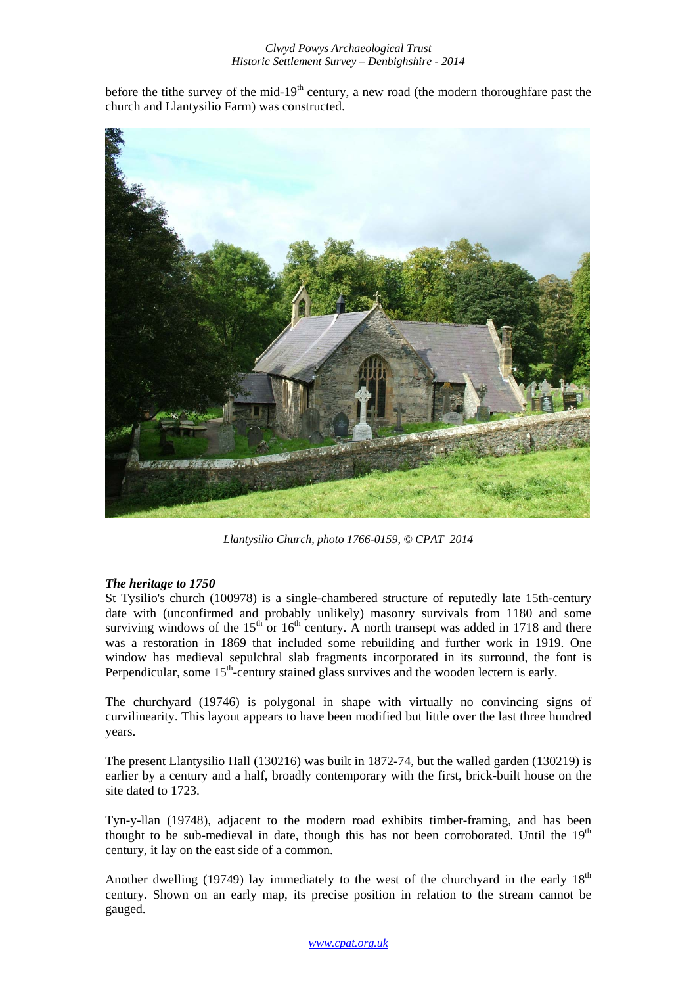#### *Clwyd Powys Archaeological Trust Historic Settlement Survey – Denbighshire - 2014*

before the tithe survey of the mid- $19<sup>th</sup>$  century, a new road (the modern thoroughfare past the church and Llantysilio Farm) was constructed.



*Llantysilio Church, photo 1766-0159, © CPAT 2014* 

## *The heritage to 1750*

St Tysilio's church (100978) is a single-chambered structure of reputedly late 15th-century date with (unconfirmed and probably unlikely) masonry survivals from 1180 and some surviving windows of the  $15<sup>th</sup>$  or  $16<sup>th</sup>$  century. A north transept was added in 1718 and there was a restoration in 1869 that included some rebuilding and further work in 1919. One window has medieval sepulchral slab fragments incorporated in its surround, the font is Perpendicular, some 15<sup>th</sup>-century stained glass survives and the wooden lectern is early.

The churchyard (19746) is polygonal in shape with virtually no convincing signs of curvilinearity. This layout appears to have been modified but little over the last three hundred years.

The present Llantysilio Hall (130216) was built in 1872-74, but the walled garden (130219) is earlier by a century and a half, broadly contemporary with the first, brick-built house on the site dated to 1723.

Tyn-y-llan (19748), adjacent to the modern road exhibits timber-framing, and has been thought to be sub-medieval in date, though this has not been corroborated. Until the  $19<sup>th</sup>$ century, it lay on the east side of a common.

Another dwelling (19749) lay immediately to the west of the churchyard in the early  $18<sup>th</sup>$ century. Shown on an early map, its precise position in relation to the stream cannot be gauged.